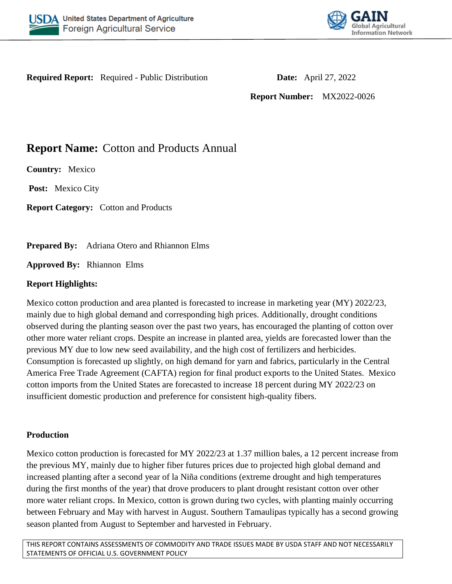



**Required Report:** Required - Public Distribution **Date:** April 27, 2022

**Report Number:** MX2022-0026

**Report Name:** Cotton and Products Annual

**Country:** Mexico

**Post:** Mexico City

**Report Category:** Cotton and Products

**Prepared By:** Adriana Otero and Rhiannon Elms

**Approved By:** Rhiannon Elms

## **Report Highlights:**

Mexico cotton production and area planted is forecasted to increase in marketing year (MY) 2022/23, mainly due to high global demand and corresponding high prices. Additionally, drought conditions observed during the planting season over the past two years, has encouraged the planting of cotton over other more water reliant crops. Despite an increase in planted area, yields are forecasted lower than the previous MY due to low new seed availability, and the high cost of fertilizers and herbicides. Consumption is forecasted up slightly, on high demand for yarn and fabrics, particularly in the Central America Free Trade Agreement (CAFTA) region for final product exports to the United States. Mexico cotton imports from the United States are forecasted to increase 18 percent during MY 2022/23 on insufficient domestic production and preference for consistent high-quality fibers.

# **Production**

Mexico cotton production is forecasted for MY 2022/23 at 1.37 million bales, a 12 percent increase from the previous MY, mainly due to higher fiber futures prices due to projected high global demand and increased planting after a second year of la Niña conditions (extreme drought and high temperatures during the first months of the year) that drove producers to plant drought resistant cotton over other more water reliant crops. In Mexico, cotton is grown during two cycles, with planting mainly occurring between February and May with harvest in August. Southern Tamaulipas typically has a second growing season planted from August to September and harvested in February.

THIS REPORT CONTAINS ASSESSMENTS OF COMMODITY AND TRADE ISSUES MADE BY USDA STAFF AND NOT NECESSARILY STATEMENTS OF OFFICIAL U.S. GOVERNMENT POLICY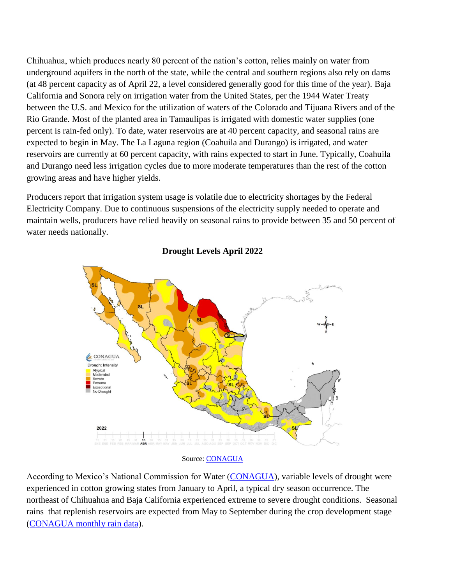Chihuahua, which produces nearly 80 percent of the nation's cotton, relies mainly on water from underground aquifers in the north of the state, while the central and southern regions also rely on dams (at 48 percent capacity as of April 22, a level considered generally good for this time of the year). Baja California and Sonora rely on irrigation water from the United States, per the 1944 Water Treaty between the U.S. and Mexico for the utilization of waters of the Colorado and Tijuana Rivers and of the Rio Grande. Most of the planted area in Tamaulipas is irrigated with domestic water supplies (one percent is rain-fed only). To date, water reservoirs are at 40 percent capacity, and seasonal rains are expected to begin in May. The La Laguna region (Coahuila and Durango) is irrigated, and water reservoirs are currently at 60 percent capacity, with rains expected to start in June. Typically, Coahuila and Durango need less irrigation cycles due to more moderate temperatures than the rest of the cotton growing areas and have higher yields.

Producers report that irrigation system usage is volatile due to electricity shortages by the Federal Electricity Company. Due to continuous suspensions of the electricity supply needed to operate and maintain wells, producers have relied heavily on seasonal rains to provide between 35 and 50 percent of water needs nationally.



#### **Drought Levels April 2022**

Source: [CONAGUA](https://smn.conagua.gob.mx/es/climatologia/monitor-de-sequia/monitor-de-sequia-en-mexico)

According to Mexico's National Commission for Water [\(CONAGUA\)](https://smn.conagua.gob.mx/es/climatologia/monitor-de-sequia/monitor-de-sequia-en-mexico), variable levels of drought were experienced in cotton growing states from January to April, a typical dry season occurrence. The northeast of Chihuahua and Baja California experienced extreme to severe drought conditions. Seasonal rains that replenish reservoirs are expected from May to September during the crop development stage [\(CONAGUA monthly rain data\)](https://smn.conagua.gob.mx/es/climatologia/temperaturas-y-lluvias/resumenes-mensuales-de-temperaturas-y-lluvias).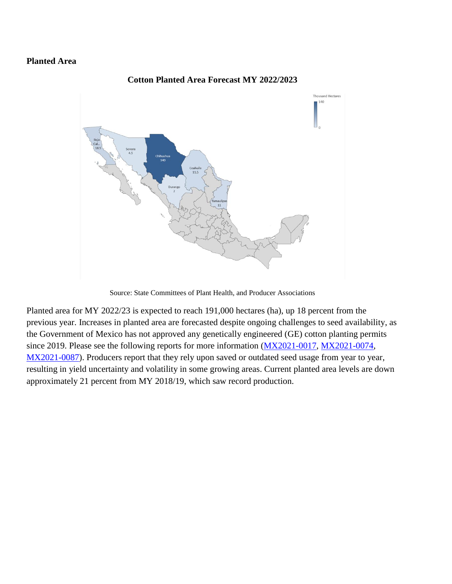### **Planted Area**



#### **Cotton Planted Area Forecast MY 2022/2023**

Source: State Committees of Plant Health, and Producer Associations

Planted area for MY 2022/23 is expected to reach 191,000 hectares (ha), up 18 percent from the previous year. Increases in planted area are forecasted despite ongoing challenges to seed availability, as the Government of Mexico has not approved any genetically engineered (GE) cotton planting permits since 2019. Please see the following reports for more information [\(MX2021-0017,](https://apps.fas.usda.gov/newgainapi/api/Report/DownloadReportByFileName?fileName=Cotton%20and%20Products%20Annual_Mexico%20City_Mexico_04-01-2021) [MX2021-0074,](https://apps.fas.usda.gov/newgainapi/api/Report/DownloadReportByFileName?fileName=Cotton%20and%20Products%20Update_Mexico%20City_Mexico_11-30-2021) [MX2021-0087\)](https://apps.fas.usda.gov/newgainapi/api/Report/DownloadReportByFileName?fileName=Agricultural%20Biotechnology%20Annual_Mexico%20City_Mexico_10-20-2021). Producers report that they rely upon saved or outdated seed usage from year to year, resulting in yield uncertainty and volatility in some growing areas. Current planted area levels are down approximately 21 percent from MY 2018/19, which saw record production.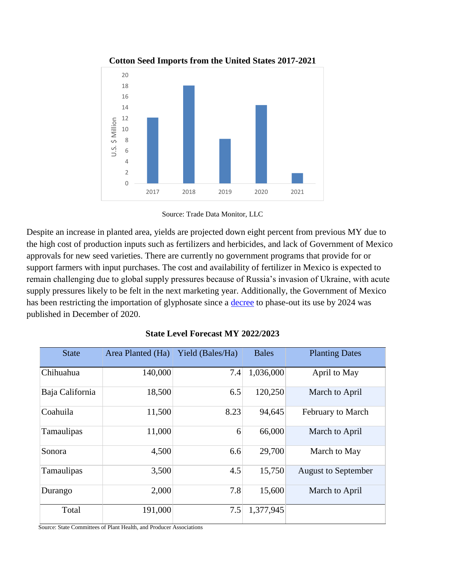

### **Cotton Seed Imports from the United States 2017-2021**



Despite an increase in planted area, yields are projected down eight percent from previous MY due to the high cost of production inputs such as fertilizers and herbicides, and lack of Government of Mexico approvals for new seed varieties. There are currently no government programs that provide for or support farmers with input purchases. The cost and availability of fertilizer in Mexico is expected to remain challenging due to global supply pressures because of Russia's invasion of Ukraine, with acute supply pressures likely to be felt in the next marketing year. Additionally, the Government of Mexico has been restricting the importation of glyphosate since a **decree** to phase-out its use by 2024 was published in December of 2020.

| <b>State</b>    | Area Planted (Ha) | Yield (Bales/Ha) | <b>Bales</b> | <b>Planting Dates</b>      |
|-----------------|-------------------|------------------|--------------|----------------------------|
| Chihuahua       | 140,000           | 7.4              | 1,036,000    | April to May               |
| Baja California | 18,500            | 6.5              | 120,250      | March to April             |
| Coahuila        | 11,500            | 8.23             | 94,645       | <b>February to March</b>   |
| Tamaulipas      | 11,000            | 6                | 66,000       | March to April             |
| Sonora          | 4,500             | 6.6              | 29,700       | March to May               |
| Tamaulipas      | 3,500             | 4.5              | 15,750       | <b>August to September</b> |
| Durango         | 2,000             | 7.8              | 15,600       | March to April             |
| Total           | 191,000           | 7.5              | 1,377,945    |                            |

| <b>State Level Forecast MY 2022/2023</b> |
|------------------------------------------|
|------------------------------------------|

Source: State Committees of Plant Health, and Producer Associations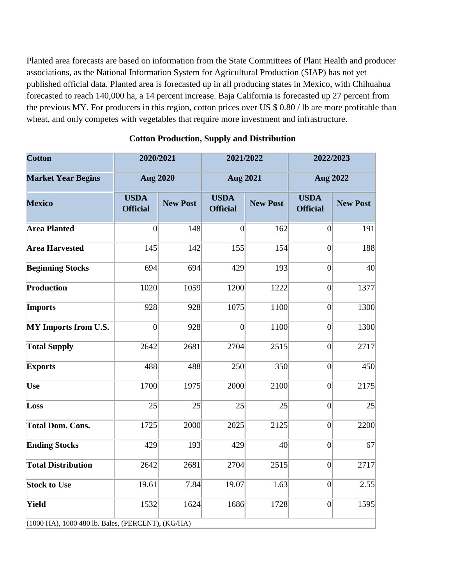Planted area forecasts are based on information from the State Committees of Plant Health and producer associations, as the National Information System for Agricultural Production (SIAP) has not yet published official data. Planted area is forecasted up in all producing states in Mexico, with Chihuahua forecasted to reach 140,000 ha, a 14 percent increase. Baja California is forecasted up 27 percent from the previous MY. For producers in this region, cotton prices over US \$ 0.80 / lb are more profitable than wheat, and only competes with vegetables that require more investment and infrastructure.

| <b>Cotton</b>                                     | 2020/2021                      |                 | 2021/2022                      |                 | 2022/2023                      |                 |
|---------------------------------------------------|--------------------------------|-----------------|--------------------------------|-----------------|--------------------------------|-----------------|
| <b>Market Year Begins</b>                         | <b>Aug 2020</b>                |                 | <b>Aug 2021</b>                |                 | <b>Aug 2022</b>                |                 |
| <b>Mexico</b>                                     | <b>USDA</b><br><b>Official</b> | <b>New Post</b> | <b>USDA</b><br><b>Official</b> | <b>New Post</b> | <b>USDA</b><br><b>Official</b> | <b>New Post</b> |
| <b>Area Planted</b>                               | $\theta$                       | 148             | $\vert 0 \vert$                | 162             | $\Omega$                       | 191             |
| <b>Area Harvested</b>                             | 145                            | 142             | 155                            | 154             | $\overline{0}$                 | 188             |
| <b>Beginning Stocks</b>                           | 694                            | 694             | 429                            | 193             | $\overline{0}$                 | 40              |
| Production                                        | 1020                           | 1059            | 1200                           | 1222            | $\vert 0 \vert$                | 1377            |
| <b>Imports</b>                                    | 928                            | 928             | 1075                           | 1100            | $\overline{0}$                 | 1300            |
| MY Imports from U.S.                              | $\overline{0}$                 | 928             | $\vert 0 \vert$                | 1100            | $\overline{0}$                 | 1300            |
| <b>Total Supply</b>                               | 2642                           | 2681            | 2704                           | 2515            | 0                              | 2717            |
| <b>Exports</b>                                    | 488                            | 488             | 250                            | 350             | $\overline{0}$                 | 450             |
| <b>Use</b>                                        | 1700                           | 1975            | 2000                           | 2100            | $\overline{0}$                 | 2175            |
| Loss                                              | 25                             | 25              | 25                             | 25              | $\overline{0}$                 | 25              |
| <b>Total Dom. Cons.</b>                           | 1725                           | 2000            | 2025                           | 2125            | $\overline{0}$                 | 2200            |
| <b>Ending Stocks</b>                              | 429                            | 193             | 429                            | 40              | $\overline{0}$                 | 67              |
| <b>Total Distribution</b>                         | 2642                           | 2681            | 2704                           | 2515            | $\overline{0}$                 | 2717            |
| <b>Stock to Use</b>                               | 19.61                          | 7.84            | 19.07                          | 1.63            | $\vert 0 \vert$                | 2.55            |
| Yield                                             | 1532                           | 1624            | 1686                           | 1728            | 0                              | 1595            |
| (1000 HA), 1000 480 lb. Bales, (PERCENT), (KG/HA) |                                |                 |                                |                 |                                |                 |

#### **Cotton Production, Supply and Distribution**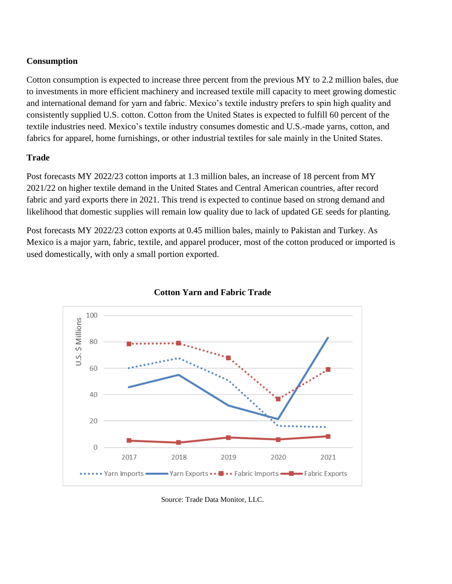# **Consumption**

Cotton consumption is expected to increase three percent from the previous MY to 2.2 million bales, due to investments in more efficient machinery and increased textile mill capacity to meet growing domestic and international demand for yarn and fabric. Mexico's textile industry prefers to spin high quality and consistently supplied U.S. cotton. Cotton from the United States is expected to fulfill 60 percent of the textile industries need. Mexico's textile industry consumes domestic and U.S.-made yarns, cotton, and fabrics for apparel, home furnishings, or other industrial textiles for sale mainly in the United States.

## **Trade**

Post forecasts MY 2022/23 cotton imports at 1.3 million bales, an increase of 18 percent from MY 2021/22 on higher textile demand in the United States and Central American countries, after record fabric and yard exports there in 2021. This trend is expected to continue based on strong demand and likelihood that domestic supplies will remain low quality due to lack of updated GE seeds for planting.

Post forecasts MY 2022/23 cotton exports at 0.45 million bales, mainly to Pakistan and Turkey. As Mexico is a major yarn, fabric, textile, and apparel producer, most of the cotton produced or imported is used domestically, with only a small portion exported.



### **Cotton Yarn and Fabric Trade**

Source: Trade Data Monitor, LLC.